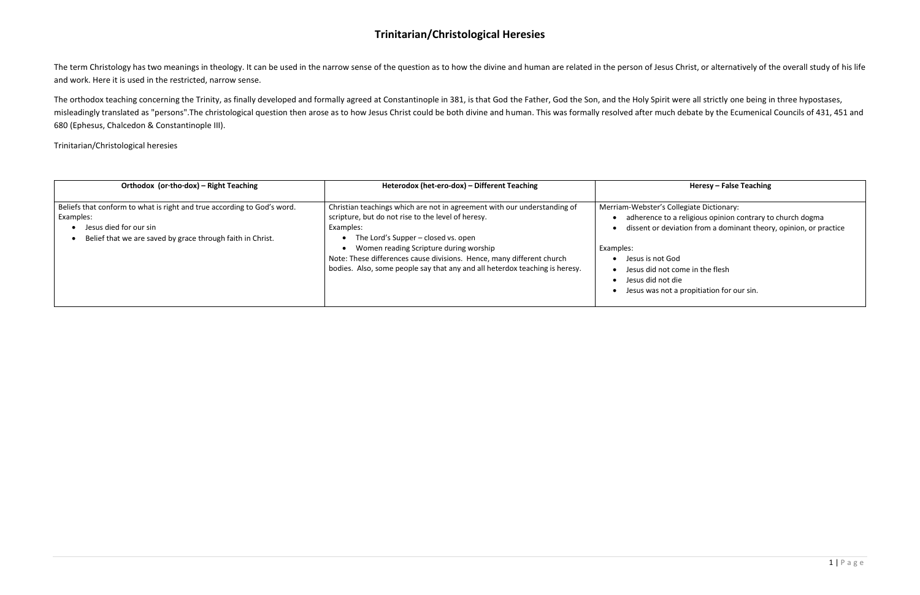The term Christology has two meanings in theology. It can be used in the narrow sense of the question as to how the divine and human are related in the person of Jesus Christ, or alternatively of the overall study of his l and work. Here it is used in the restricted, narrow sense.

The orthodox teaching concerning the Trinity, as finally developed and formally agreed at Constantinople in 381, is that God the Father, God the Son, and the Holy Spirit were all strictly one being in three hypostases, misleadingly translated as "persons".The christological question then arose as to how Jesus Christ could be both divine and human. This was formally resolved after much debate by the Ecumenical Councils of 431, 451 and 680 (Ephesus, Chalcedon & Constantinople III).

Trinitarian/Christological heresies

**Orthodox (or·tho·dox) – Right Teaching Heterodox (het-ero-dox) – Different Teaching Heresy – False Teaching**

**Ilegiate Dictionary:** religious opinion contrary to church dogma ation from a dominant theory, opinion, or practice

ome in the flesh **propitiation for our sin.** 

| Orthodox (or tho dox) - Right Teaching                                                                                                                                       | Heterodox (het-ero-dox) - Different Teaching                                                                                                                                                                                                                                                                                                                                         |                                                                                                                                                                  |
|------------------------------------------------------------------------------------------------------------------------------------------------------------------------------|--------------------------------------------------------------------------------------------------------------------------------------------------------------------------------------------------------------------------------------------------------------------------------------------------------------------------------------------------------------------------------------|------------------------------------------------------------------------------------------------------------------------------------------------------------------|
| Beliefs that conform to what is right and true according to God's word.<br>Examples:<br>Jesus died for our sin<br>Belief that we are saved by grace through faith in Christ. | Christian teachings which are not in agreement with our understanding of<br>scripture, but do not rise to the level of heresy.<br>Examples:<br>The Lord's Supper – closed vs. open<br>Women reading Scripture during worship<br>Note: These differences cause divisions. Hence, many different church<br>bodies. Also, some people say that any and all heterdox teaching is heresy. | Merriam-Webster's Colle<br>adherence to a r<br>dissent or deviat<br>Examples:<br>Jesus is not God<br>Jesus did not cor<br>Jesus did not die<br>Jesus was not a p |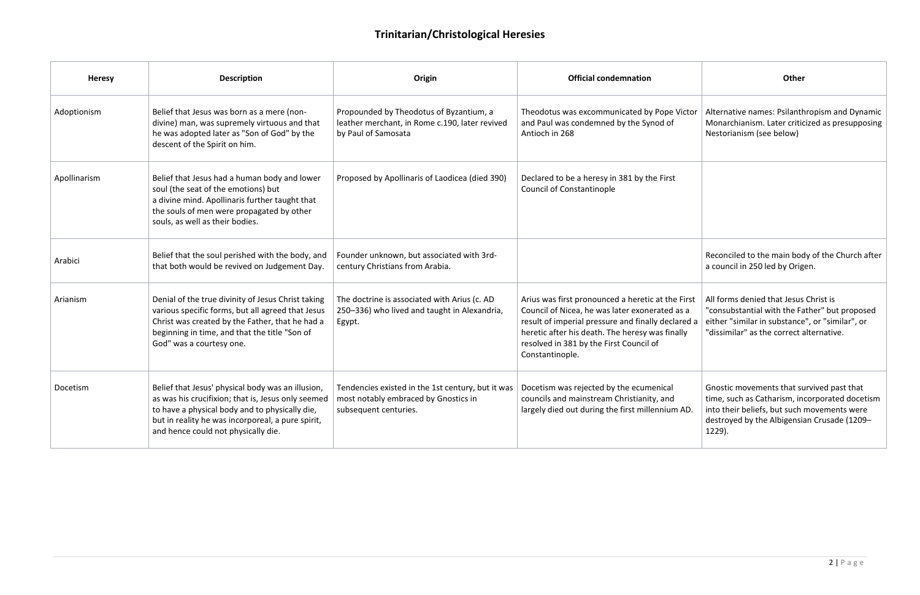| <b>Heresy</b> | <b>Description</b>                                                                                                                                                                                                                                    | Origin                                                                                                             | <b>Official condemnation</b>                                                                                                                                                                                                                                               | Other                                                                                                                                                                                               |
|---------------|-------------------------------------------------------------------------------------------------------------------------------------------------------------------------------------------------------------------------------------------------------|--------------------------------------------------------------------------------------------------------------------|----------------------------------------------------------------------------------------------------------------------------------------------------------------------------------------------------------------------------------------------------------------------------|-----------------------------------------------------------------------------------------------------------------------------------------------------------------------------------------------------|
| Adoptionism   | Belief that Jesus was born as a mere (non-<br>divine) man, was supremely virtuous and that<br>he was adopted later as "Son of God" by the<br>descent of the Spirit on him.                                                                            | Propounded by Theodotus of Byzantium, a<br>leather merchant, in Rome c.190, later revived<br>by Paul of Samosata   | Theodotus was excommunicated by Pope Victor<br>and Paul was condemned by the Synod of<br>Antioch in 268                                                                                                                                                                    | Alternative names: Psilanthropism and Dynamic<br>Monarchianism. Later criticized as presupposing<br>Nestorianism (see below)                                                                        |
| Apollinarism  | Belief that Jesus had a human body and lower<br>soul (the seat of the emotions) but<br>a divine mind. Apollinaris further taught that<br>the souls of men were propagated by other<br>souls, as well as their bodies.                                 | Proposed by Apollinaris of Laodicea (died 390)                                                                     | Declared to be a heresy in 381 by the First<br><b>Council of Constantinople</b>                                                                                                                                                                                            |                                                                                                                                                                                                     |
| Arabici       | Belief that the soul perished with the body, and<br>that both would be revived on Judgement Day.                                                                                                                                                      | Founder unknown, but associated with 3rd-<br>century Christians from Arabia.                                       |                                                                                                                                                                                                                                                                            | Reconciled to the main body of the Church after<br>a council in 250 led by Origen.                                                                                                                  |
| Arianism      | Denial of the true divinity of Jesus Christ taking<br>various specific forms, but all agreed that Jesus<br>Christ was created by the Father, that he had a<br>beginning in time, and that the title "Son of<br>God" was a courtesy one.               | The doctrine is associated with Arius (c. AD<br>250-336) who lived and taught in Alexandria,<br>Egypt.             | Arius was first pronounced a heretic at the First<br>Council of Nicea, he was later exonerated as a<br>result of imperial pressure and finally declared a<br>heretic after his death. The heresy was finally<br>resolved in 381 by the First Council of<br>Constantinople. | All forms denied that Jesus Christ is<br>"consubstantial with the Father" but proposed<br>either "similar in substance", or "similar", or<br>"dissimilar" as the correct alternative.               |
| Docetism      | Belief that Jesus' physical body was an illusion,<br>as was his crucifixion; that is, Jesus only seemed<br>to have a physical body and to physically die,<br>but in reality he was incorporeal, a pure spirit,<br>and hence could not physically die. | Tendencies existed in the 1st century, but it was<br>most notably embraced by Gnostics in<br>subsequent centuries. | Docetism was rejected by the ecumenical<br>councils and mainstream Christianity, and<br>largely died out during the first millennium AD.                                                                                                                                   | Gnostic movements that survived past that<br>time, such as Catharism, incorporated docetism<br>into their beliefs, but such movements were<br>destroyed by the Albigensian Crusade (1209-<br>1229). |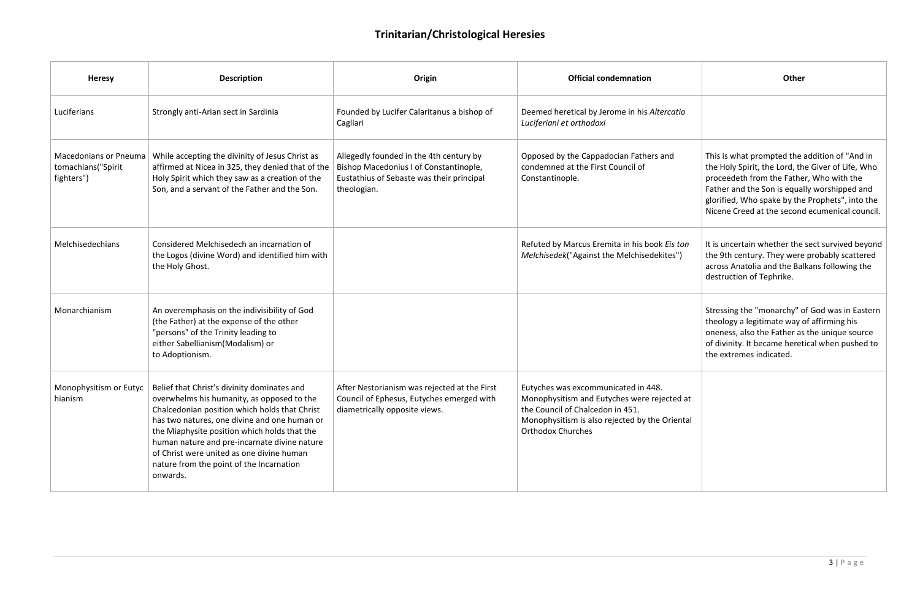|                    | <b>Other</b>                                                                                                                                                                                                                                                                                        |
|--------------------|-----------------------------------------------------------------------------------------------------------------------------------------------------------------------------------------------------------------------------------------------------------------------------------------------------|
| catio              |                                                                                                                                                                                                                                                                                                     |
| ۱d                 | This is what prompted the addition of "And in<br>the Holy Spirit, the Lord, the Giver of Life, Who<br>proceedeth from the Father, Who with the<br>Father and the Son is equally worshipped and<br>glorified, Who spake by the Prophets", into the<br>Nicene Creed at the second ecumenical council. |
| is ton:<br>es")    | It is uncertain whether the sect survived beyond<br>the 9th century. They were probably scattered<br>across Anatolia and the Balkans following the<br>destruction of Tephrike.                                                                                                                      |
|                    | Stressing the "monarchy" of God was in Eastern<br>theology a legitimate way of affirming his<br>oneness, also the Father as the unique source<br>of divinity. It became heretical when pushed to<br>the extremes indicated.                                                                         |
| cted at<br>riental |                                                                                                                                                                                                                                                                                                     |

| <b>Heresy</b>                                                    | <b>Description</b>                                                                                                                                                                                                                                                                                                                                                                              | Origin                                                                                                                                        | <b>Official condemnation</b>                                                                                                                                                                         | Other                                                                                                                                                                               |
|------------------------------------------------------------------|-------------------------------------------------------------------------------------------------------------------------------------------------------------------------------------------------------------------------------------------------------------------------------------------------------------------------------------------------------------------------------------------------|-----------------------------------------------------------------------------------------------------------------------------------------------|------------------------------------------------------------------------------------------------------------------------------------------------------------------------------------------------------|-------------------------------------------------------------------------------------------------------------------------------------------------------------------------------------|
| Luciferians                                                      | Strongly anti-Arian sect in Sardinia                                                                                                                                                                                                                                                                                                                                                            | Founded by Lucifer Calaritanus a bishop of<br>Cagliari                                                                                        | Deemed heretical by Jerome in his Altercatio<br>Luciferiani et orthodoxi                                                                                                                             |                                                                                                                                                                                     |
| <b>Macedonians or Pneuma</b><br>tomachians("Spirit<br>fighters") | While accepting the divinity of Jesus Christ as<br>affirmed at Nicea in 325, they denied that of the<br>Holy Spirit which they saw as a creation of the<br>Son, and a servant of the Father and the Son.                                                                                                                                                                                        | Allegedly founded in the 4th century by<br>Bishop Macedonius I of Constantinople,<br>Eustathius of Sebaste was their principal<br>theologian. | Opposed by the Cappadocian Fathers and<br>condemned at the First Council of<br>Constantinople.                                                                                                       | This is what prompted the<br>the Holy Spirit, the Lord, th<br>proceedeth from the Fathe<br>Father and the Son is equal<br>glorified, Who spake by the<br>Nicene Creed at the second |
| Melchisedechians                                                 | Considered Melchisedech an incarnation of<br>the Logos (divine Word) and identified him with<br>the Holy Ghost.                                                                                                                                                                                                                                                                                 |                                                                                                                                               | Refuted by Marcus Eremita in his book Eis ton<br>Melchisedek("Against the Melchisedekites")                                                                                                          | It is uncertain whether the<br>the 9th century. They were<br>across Anatolia and the Bal<br>destruction of Tephrike.                                                                |
| Monarchianism                                                    | An overemphasis on the indivisibility of God<br>(the Father) at the expense of the other<br>"persons" of the Trinity leading to<br>either Sabellianism (Modalism) or<br>to Adoptionism.                                                                                                                                                                                                         |                                                                                                                                               |                                                                                                                                                                                                      | Stressing the "monarchy" o<br>theology a legitimate way o<br>oneness, also the Father as<br>of divinity. It became heret<br>the extremes indicated.                                 |
| Monophysitism or Eutyc<br>hianism                                | Belief that Christ's divinity dominates and<br>overwhelms his humanity, as opposed to the<br>Chalcedonian position which holds that Christ<br>has two natures, one divine and one human or<br>the Miaphysite position which holds that the<br>human nature and pre-incarnate divine nature<br>of Christ were united as one divine human<br>nature from the point of the Incarnation<br>onwards. | After Nestorianism was rejected at the First<br>Council of Ephesus, Eutyches emerged with<br>diametrically opposite views.                    | Eutyches was excommunicated in 448.<br>Monophysitism and Eutyches were rejected at<br>the Council of Chalcedon in 451.<br>Monophysitism is also rejected by the Oriental<br><b>Orthodox Churches</b> |                                                                                                                                                                                     |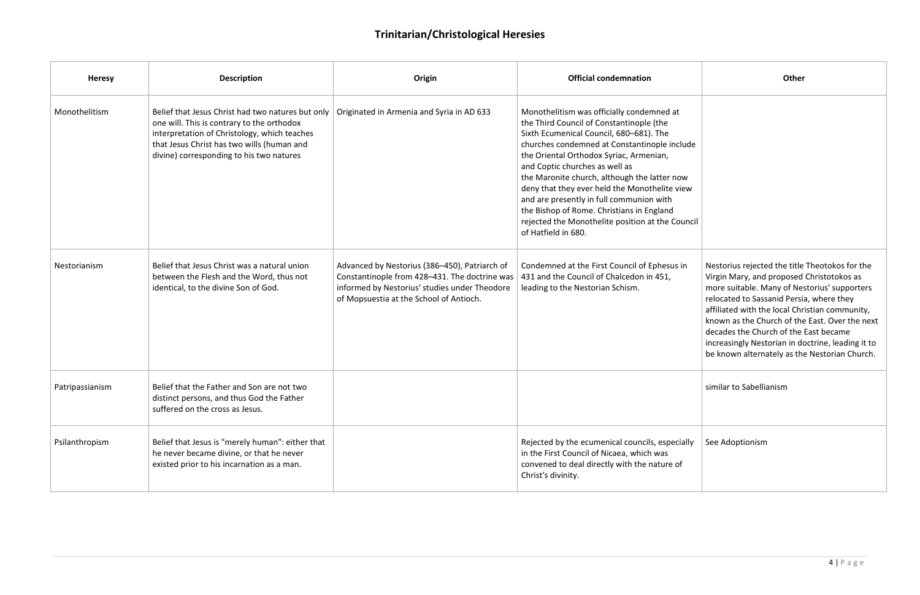| <b>Heresy</b>   | <b>Description</b>                                                                                                                                                                                                                        | Origin                                                                                                                                                                                     | <b>Official condemnation</b>                                                                                                                                                                                                                                                                                                                                                                                                                                                                                                       | Other                                                                                                                                                                                                                                                                             |
|-----------------|-------------------------------------------------------------------------------------------------------------------------------------------------------------------------------------------------------------------------------------------|--------------------------------------------------------------------------------------------------------------------------------------------------------------------------------------------|------------------------------------------------------------------------------------------------------------------------------------------------------------------------------------------------------------------------------------------------------------------------------------------------------------------------------------------------------------------------------------------------------------------------------------------------------------------------------------------------------------------------------------|-----------------------------------------------------------------------------------------------------------------------------------------------------------------------------------------------------------------------------------------------------------------------------------|
| Monothelitism   | Belief that Jesus Christ had two natures but only<br>one will. This is contrary to the orthodox<br>interpretation of Christology, which teaches<br>that Jesus Christ has two wills (human and<br>divine) corresponding to his two natures | Originated in Armenia and Syria in AD 633                                                                                                                                                  | Monothelitism was officially condemned at<br>the Third Council of Constantinople (the<br>Sixth Ecumenical Council, 680-681). The<br>churches condemned at Constantinople include<br>the Oriental Orthodox Syriac, Armenian,<br>and Coptic churches as well as<br>the Maronite church, although the latter now<br>deny that they ever held the Monothelite view<br>and are presently in full communion with<br>the Bishop of Rome. Christians in England<br>rejected the Monothelite position at the Council<br>of Hatfield in 680. |                                                                                                                                                                                                                                                                                   |
| Nestorianism    | Belief that Jesus Christ was a natural union<br>between the Flesh and the Word, thus not<br>identical, to the divine Son of God.                                                                                                          | Advanced by Nestorius (386-450), Patriarch of<br>Constantinople from 428-431. The doctrine was<br>informed by Nestorius' studies under Theodore<br>of Mopsuestia at the School of Antioch. | Condemned at the First Council of Ephesus in<br>431 and the Council of Chalcedon in 451,<br>leading to the Nestorian Schism.                                                                                                                                                                                                                                                                                                                                                                                                       | Nestorius rejected the title<br>Virgin Mary, and proposed<br>more suitable. Many of Nes<br>relocated to Sassanid Persi<br>affiliated with the local Chr<br>known as the Church of the<br>decades the Church of the<br>increasingly Nestorian in do<br>be known alternately as the |
| Patripassianism | Belief that the Father and Son are not two<br>distinct persons, and thus God the Father<br>suffered on the cross as Jesus.                                                                                                                |                                                                                                                                                                                            |                                                                                                                                                                                                                                                                                                                                                                                                                                                                                                                                    | similar to Sabellianism                                                                                                                                                                                                                                                           |
| Psilanthropism  | Belief that Jesus is "merely human": either that<br>he never became divine, or that he never<br>existed prior to his incarnation as a man.                                                                                                |                                                                                                                                                                                            | Rejected by the ecumenical councils, especially<br>in the First Council of Nicaea, which was<br>convened to deal directly with the nature of<br>Christ's divinity.                                                                                                                                                                                                                                                                                                                                                                 | See Adoptionism                                                                                                                                                                                                                                                                   |

|                 | <b>Other</b>                                                                                                                                                                                                                                                                                                                                                                                                                               |
|-----------------|--------------------------------------------------------------------------------------------------------------------------------------------------------------------------------------------------------------------------------------------------------------------------------------------------------------------------------------------------------------------------------------------------------------------------------------------|
| at              |                                                                                                                                                                                                                                                                                                                                                                                                                                            |
| nclude          |                                                                                                                                                                                                                                                                                                                                                                                                                                            |
| now<br>view     |                                                                                                                                                                                                                                                                                                                                                                                                                                            |
| Council         |                                                                                                                                                                                                                                                                                                                                                                                                                                            |
| us in           | Nestorius rejected the title Theotokos for the<br>Virgin Mary, and proposed Christotokos as<br>more suitable. Many of Nestorius' supporters<br>relocated to Sassanid Persia, where they<br>affiliated with the local Christian community,<br>known as the Church of the East. Over the next<br>decades the Church of the East became<br>increasingly Nestorian in doctrine, leading it to<br>be known alternately as the Nestorian Church. |
|                 | similar to Sabellianism                                                                                                                                                                                                                                                                                                                                                                                                                    |
| ecially<br>: of | See Adoptionism                                                                                                                                                                                                                                                                                                                                                                                                                            |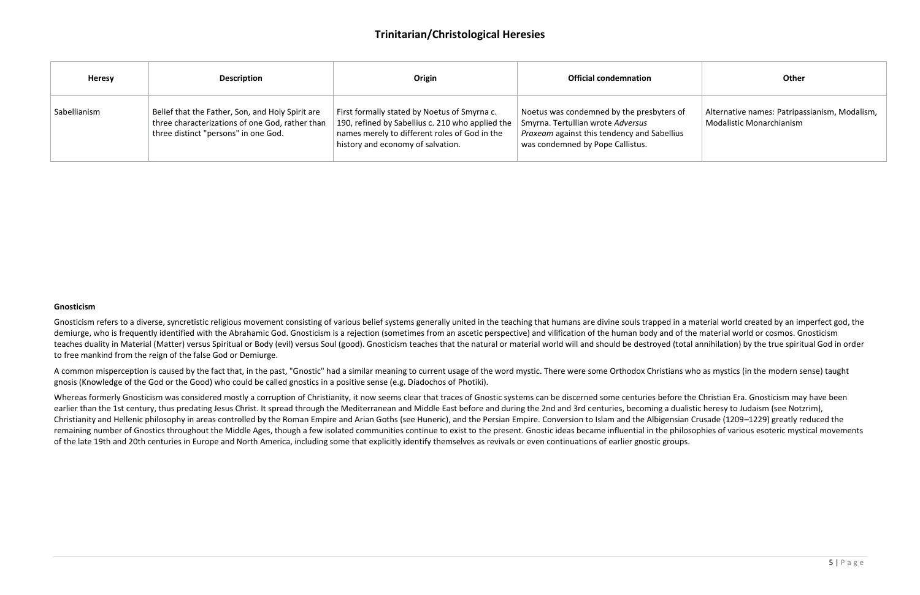| <b>Heresy</b> | <b>Description</b>                                                                                                                          | Origin                                                                                                                                                                                 | <b>Official condemnation</b>                                                                                                                                      | <b>Other</b>                                                              |
|---------------|---------------------------------------------------------------------------------------------------------------------------------------------|----------------------------------------------------------------------------------------------------------------------------------------------------------------------------------------|-------------------------------------------------------------------------------------------------------------------------------------------------------------------|---------------------------------------------------------------------------|
| Sabellianism  | Belief that the Father, Son, and Holy Spirit are<br>three characterizations of one God, rather than<br>three distinct "persons" in one God. | First formally stated by Noetus of Smyrna c.<br>190, refined by Sabellius c. 210 who applied the<br>names merely to different roles of God in the<br>history and economy of salvation. | Noetus was condemned by the presbyters of<br>Smyrna. Tertullian wrote Adversus<br>Praxeam against this tendency and Sabellius<br>was condemned by Pope Callistus. | Alternative names: Patripassianism, Modalism,<br>Modalistic Monarchianism |

#### **Gnosticism**

Gnosticism refers to a diverse, syncretistic religious movement consisting of various belief systems generally united in the teaching that humans are divine souls trapped in a material world created by an imperfect god, the demiurge, who is frequently identified with the Abrahamic God. Gnosticism is a rejection (sometimes from an ascetic perspective) and vilification of the human body and of the material world or cosmos. Gnosticism teaches duality in Material (Matter) versus Spiritual or Body (evil) versus Soul (good). Gnosticism teaches that the natural or material world will and should be destroyed (total annihilation) by the true spiritual God in to free mankind from the reign of the false God or Demiurge.

Whereas formerly Gnosticism was considered mostly a corruption of Christianity, it now seems clear that traces of Gnostic systems can be discerned some centuries before the Christian Era. Gnosticism may have been earlier than the 1st century, thus predating Jesus Christ. It spread through the Mediterranean and Middle East before and during the 2nd and 3rd centuries, becoming a dualistic heresy to Judaism (see Notzrim), Christianity and Hellenic philosophy in areas controlled by the Roman Empire and Arian Goths (see Huneric), and the Persian Empire. Conversion to Islam and the Albigensian Crusade (1209–1229) greatly reduced the remaining number of Gnostics throughout the Middle Ages, though a few isolated communities continue to exist to the present. Gnostic ideas became influential in the philosophies of various esoteric mystical movements of the late 19th and 20th centuries in Europe and North America, including some that explicitly identify themselves as revivals or even continuations of earlier gnostic groups.

A common misperception is caused by the fact that, in the past, "Gnostic" had a similar meaning to current usage of the word mystic. There were some Orthodox Christians who as mystics (in the modern sense) taught gnosis (Knowledge of the God or the Good) who could be called gnostics in a positive sense (e.g. Diadochos of Photiki).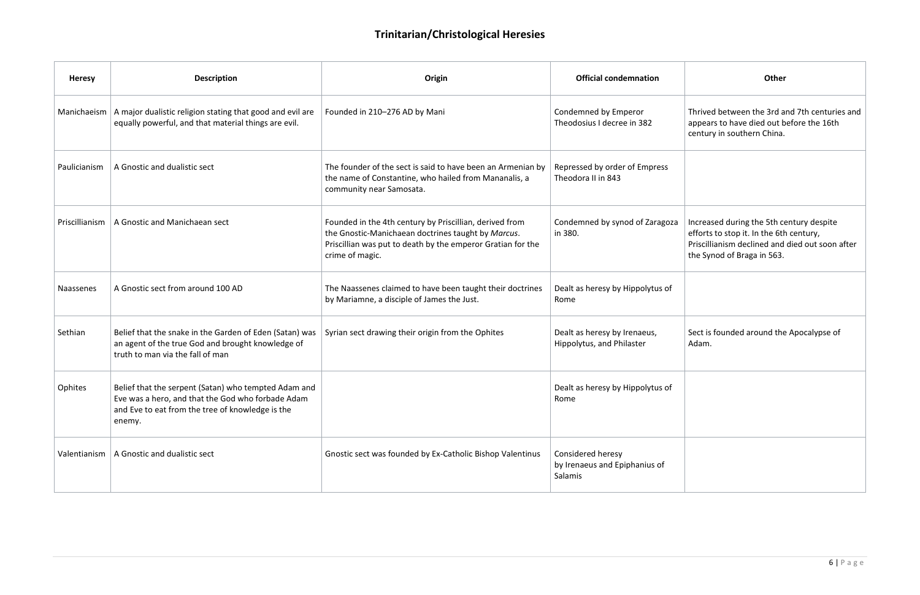|   | <b>Other</b>                                                                                                                                                         |
|---|----------------------------------------------------------------------------------------------------------------------------------------------------------------------|
|   | Thrived between the 3rd and 7th centuries and<br>appears to have died out before the 16th<br>century in southern China.                                              |
|   |                                                                                                                                                                      |
| J | Increased during the 5th century despite<br>efforts to stop it. In the 6th century,<br>Priscillianism declined and died out soon after<br>the Synod of Braga in 563. |
|   |                                                                                                                                                                      |
|   | Sect is founded around the Apocalypse of<br>Adam.                                                                                                                    |
|   |                                                                                                                                                                      |
|   |                                                                                                                                                                      |

|                                                                                                                                  | <b>Heresy</b>  | <b>Description</b><br>Origin                                                                                                                                            |                                                                                                                                                                                                 | <b>Official condemnation</b>                                  | Other                                                                                                                      |  |
|----------------------------------------------------------------------------------------------------------------------------------|----------------|-------------------------------------------------------------------------------------------------------------------------------------------------------------------------|-------------------------------------------------------------------------------------------------------------------------------------------------------------------------------------------------|---------------------------------------------------------------|----------------------------------------------------------------------------------------------------------------------------|--|
| A major dualistic religion stating that good and evil are<br>Manichaeism<br>equally powerful, and that material things are evil. |                |                                                                                                                                                                         | Founded in 210-276 AD by Mani                                                                                                                                                                   | Condemned by Emperor<br>Theodosius I decree in 382            | Thrived between the 3rd a<br>appears to have died out b<br>century in southern China.                                      |  |
| A Gnostic and dualistic sect<br>Paulicianism                                                                                     |                |                                                                                                                                                                         | The founder of the sect is said to have been an Armenian by<br>the name of Constantine, who hailed from Mananalis, a<br>community near Samosata.                                                | Repressed by order of Empress<br>Theodora II in 843           |                                                                                                                            |  |
|                                                                                                                                  | Priscillianism | A Gnostic and Manichaean sect                                                                                                                                           | Founded in the 4th century by Priscillian, derived from<br>the Gnostic-Manichaean doctrines taught by Marcus.<br>Priscillian was put to death by the emperor Gratian for the<br>crime of magic. | Condemned by synod of Zaragoza<br>in 380.                     | Increased during the 5th co<br>efforts to stop it. In the 6th<br>Priscillianism declined and<br>the Synod of Braga in 563. |  |
|                                                                                                                                  | Naassenes      | A Gnostic sect from around 100 AD                                                                                                                                       | The Naassenes claimed to have been taught their doctrines<br>by Mariamne, a disciple of James the Just.                                                                                         | Dealt as heresy by Hippolytus of<br>Rome                      |                                                                                                                            |  |
|                                                                                                                                  | Sethian        | Belief that the snake in the Garden of Eden (Satan) was<br>an agent of the true God and brought knowledge of<br>truth to man via the fall of man                        | Syrian sect drawing their origin from the Ophites                                                                                                                                               | Dealt as heresy by Irenaeus,<br>Hippolytus, and Philaster     | Sect is founded around the<br>Adam.                                                                                        |  |
|                                                                                                                                  | Ophites        | Belief that the serpent (Satan) who tempted Adam and<br>Eve was a hero, and that the God who forbade Adam<br>and Eve to eat from the tree of knowledge is the<br>enemy. |                                                                                                                                                                                                 | Dealt as heresy by Hippolytus of<br>Rome                      |                                                                                                                            |  |
|                                                                                                                                  |                | Valentianism   A Gnostic and dualistic sect                                                                                                                             | Gnostic sect was founded by Ex-Catholic Bishop Valentinus                                                                                                                                       | Considered heresy<br>by Irenaeus and Epiphanius of<br>Salamis |                                                                                                                            |  |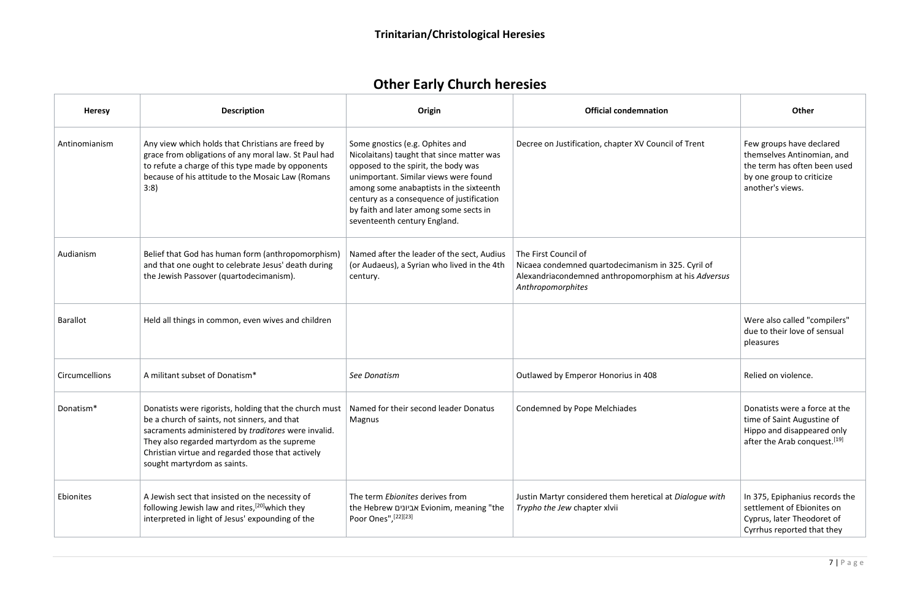# **Other Early Church heresies**

| <b>Heresy</b>   | <b>Description</b>                                                                                                                                                                                                                                                                               | Origin                                                                                                                                                                                                                                                                                                                         | <b>Official condemnation</b>                                                                                                                            | Other                                                                                                                                   |
|-----------------|--------------------------------------------------------------------------------------------------------------------------------------------------------------------------------------------------------------------------------------------------------------------------------------------------|--------------------------------------------------------------------------------------------------------------------------------------------------------------------------------------------------------------------------------------------------------------------------------------------------------------------------------|---------------------------------------------------------------------------------------------------------------------------------------------------------|-----------------------------------------------------------------------------------------------------------------------------------------|
| Antinomianism   | Any view which holds that Christians are freed by<br>grace from obligations of any moral law. St Paul had<br>to refute a charge of this type made by opponents<br>because of his attitude to the Mosaic Law (Romans<br>3:8)                                                                      | Some gnostics (e.g. Ophites and<br>Nicolaitans) taught that since matter was<br>opposed to the spirit, the body was<br>unimportant. Similar views were found<br>among some anabaptists in the sixteenth<br>century as a consequence of justification<br>by faith and later among some sects in<br>seventeenth century England. | Decree on Justification, chapter XV Council of Trent                                                                                                    | Few groups have declared<br>themselves Antinomian, and<br>the term has often been used<br>by one group to criticize<br>another's views. |
| Audianism       | Belief that God has human form (anthropomorphism)<br>and that one ought to celebrate Jesus' death during<br>the Jewish Passover (quartodecimanism).                                                                                                                                              | Named after the leader of the sect, Audius<br>(or Audaeus), a Syrian who lived in the 4th<br>century.                                                                                                                                                                                                                          | The First Council of<br>Nicaea condemned quartodecimanism in 325. Cyril of<br>Alexandriacondemned anthropomorphism at his Adversus<br>Anthropomorphites |                                                                                                                                         |
| <b>Barallot</b> | Held all things in common, even wives and children                                                                                                                                                                                                                                               |                                                                                                                                                                                                                                                                                                                                |                                                                                                                                                         | Were also called "compilers"<br>due to their love of sensual<br>pleasures                                                               |
| Circumcellions  | A militant subset of Donatism*                                                                                                                                                                                                                                                                   | See Donatism                                                                                                                                                                                                                                                                                                                   | Outlawed by Emperor Honorius in 408                                                                                                                     | Relied on violence.                                                                                                                     |
| Donatism*       | Donatists were rigorists, holding that the church must<br>be a church of saints, not sinners, and that<br>sacraments administered by traditores were invalid.<br>They also regarded martyrdom as the supreme<br>Christian virtue and regarded those that actively<br>sought martyrdom as saints. | Named for their second leader Donatus<br>Magnus                                                                                                                                                                                                                                                                                | Condemned by Pope Melchiades                                                                                                                            | Donatists were a force at the<br>time of Saint Augustine of<br>Hippo and disappeared only<br>after the Arab conquest. <sup>[19]</sup>   |
| Ebionites       | A Jewish sect that insisted on the necessity of<br>following Jewish law and rites, <sup>[20]</sup> which they<br>interpreted in light of Jesus' expounding of the                                                                                                                                | The term Ebionites derives from<br>the Hebrew אביונים Evionim, meaning "the<br>Poor Ones", [22][23]                                                                                                                                                                                                                            | Justin Martyr considered them heretical at Dialogue with<br>Trypho the Jew chapter xlvii                                                                | In 375, Epiphanius records the<br>settlement of Ebionites on<br>Cyprus, later Theodoret of<br>Cyrrhus reported that they                |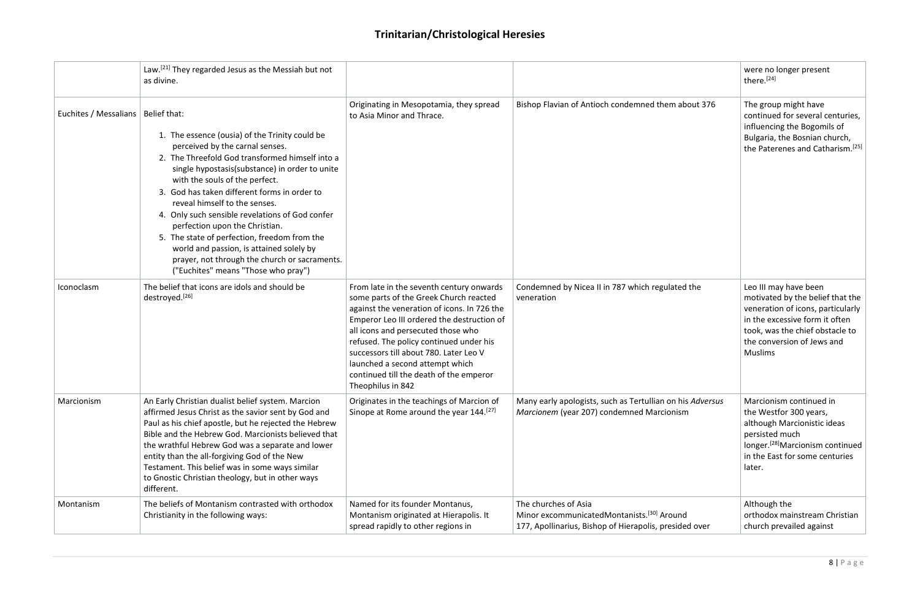|                                      | Law. <sup>[21]</sup> They regarded Jesus as the Messiah but not<br>as divine.                                                                                                                                                                                                                                                                                                                                                                                                                                                                                                      |                                                                                                                                                                                                                                                                                                                                                                                                               |                                                                                                                                          | were no longer present<br>there. <sup>[24]</sup>                                                                                                                                                                    |
|--------------------------------------|------------------------------------------------------------------------------------------------------------------------------------------------------------------------------------------------------------------------------------------------------------------------------------------------------------------------------------------------------------------------------------------------------------------------------------------------------------------------------------------------------------------------------------------------------------------------------------|---------------------------------------------------------------------------------------------------------------------------------------------------------------------------------------------------------------------------------------------------------------------------------------------------------------------------------------------------------------------------------------------------------------|------------------------------------------------------------------------------------------------------------------------------------------|---------------------------------------------------------------------------------------------------------------------------------------------------------------------------------------------------------------------|
| Euchites / Messalians   Belief that: | 1. The essence (ousia) of the Trinity could be<br>perceived by the carnal senses.<br>2. The Threefold God transformed himself into a<br>single hypostasis(substance) in order to unite<br>with the souls of the perfect.<br>3. God has taken different forms in order to<br>reveal himself to the senses.<br>4. Only such sensible revelations of God confer<br>perfection upon the Christian.<br>5. The state of perfection, freedom from the<br>world and passion, is attained solely by<br>prayer, not through the church or sacraments.<br>("Euchites" means "Those who pray") | Originating in Mesopotamia, they spread<br>to Asia Minor and Thrace.                                                                                                                                                                                                                                                                                                                                          | Bishop Flavian of Antioch condemned them about 376                                                                                       | The group might have<br>continued for several centuries,<br>influencing the Bogomils of<br>Bulgaria, the Bosnian church,<br>the Paterenes and Catharism. <sup>[25]</sup>                                            |
| Iconoclasm                           | The belief that icons are idols and should be<br>destroyed. <sup>[26]</sup>                                                                                                                                                                                                                                                                                                                                                                                                                                                                                                        | From late in the seventh century onwards<br>some parts of the Greek Church reacted<br>against the veneration of icons. In 726 the<br>Emperor Leo III ordered the destruction of<br>all icons and persecuted those who<br>refused. The policy continued under his<br>successors till about 780. Later Leo V<br>launched a second attempt which<br>continued till the death of the emperor<br>Theophilus in 842 | Condemned by Nicea II in 787 which regulated the<br>veneration                                                                           | Leo III may have been<br>motivated by the belief that the<br>veneration of icons, particularly<br>in the excessive form it often<br>took, was the chief obstacle to<br>the conversion of Jews and<br><b>Muslims</b> |
| Marcionism                           | An Early Christian dualist belief system. Marcion<br>affirmed Jesus Christ as the savior sent by God and<br>Paul as his chief apostle, but he rejected the Hebrew<br>Bible and the Hebrew God. Marcionists believed that<br>the wrathful Hebrew God was a separate and lower<br>entity than the all-forgiving God of the New<br>Testament. This belief was in some ways similar<br>to Gnostic Christian theology, but in other ways<br>different.                                                                                                                                  | Originates in the teachings of Marcion of<br>Sinope at Rome around the year 144. <sup>[27]</sup>                                                                                                                                                                                                                                                                                                              | Many early apologists, such as Tertullian on his Adversus<br>Marcionem (year 207) condemned Marcionism                                   | Marcionism continued in<br>the Westfor 300 years,<br>although Marcionistic ideas<br>persisted much<br>longer. <sup>[28]</sup> Marcionism continued<br>in the East for some centuries<br>later.                      |
| Montanism                            | The beliefs of Montanism contrasted with orthodox<br>Christianity in the following ways:                                                                                                                                                                                                                                                                                                                                                                                                                                                                                           | Named for its founder Montanus,<br>Montanism originated at Hierapolis. It<br>spread rapidly to other regions in                                                                                                                                                                                                                                                                                               | The churches of Asia<br>Minor excommunicatedMontanists. <sup>[30]</sup> Around<br>177, Apollinarius, Bishop of Hierapolis, presided over | Although the<br>orthodox mainstream Christian<br>church prevailed against                                                                                                                                           |